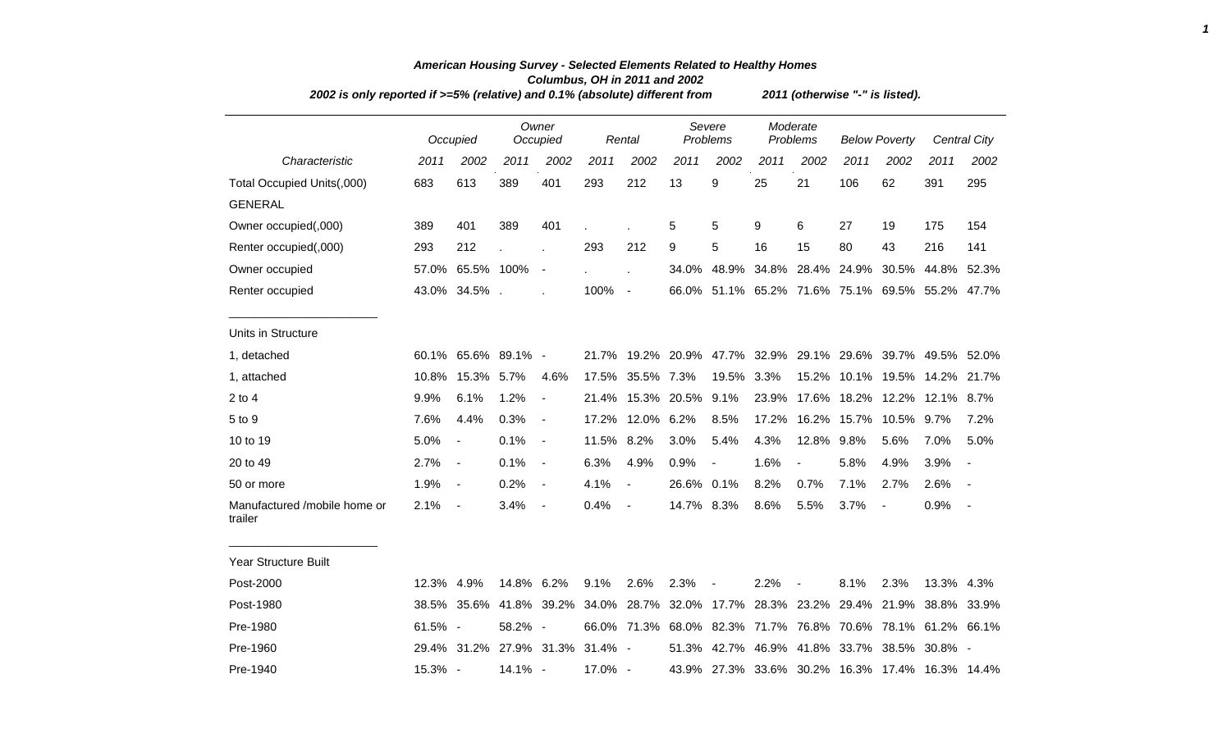| 2002 is only reported if >=5% (relative) and 0.1% (absolute) different from |         |                                 |            |                          |            |                              | 2011 (otherwise "-" is listed). |                                     |       |                      |                         |                          |                                                             |              |  |
|-----------------------------------------------------------------------------|---------|---------------------------------|------------|--------------------------|------------|------------------------------|---------------------------------|-------------------------------------|-------|----------------------|-------------------------|--------------------------|-------------------------------------------------------------|--------------|--|
|                                                                             |         | Occupied                        |            | Owner<br>Occupied        |            | Rental                       |                                 | Severe<br><b>Problems</b>           |       | Moderate<br>Problems | <b>Below Poverty</b>    |                          |                                                             | Central City |  |
| Characteristic                                                              | 2011    | 2002                            | 2011       | 2002                     | 2011       | 2002                         | 2011                            | 2002                                | 2011  | 2002                 | 2011                    | 2002                     | 2011                                                        | 2002         |  |
| Total Occupied Units(,000)                                                  | 683     | 613                             | 389        | 401                      | 293        | 212                          | 13                              | 9                                   | 25    | 21                   | 106                     | 62                       | 391                                                         | 295          |  |
| <b>GENERAL</b>                                                              |         |                                 |            |                          |            |                              |                                 |                                     |       |                      |                         |                          |                                                             |              |  |
| Owner occupied(,000)                                                        | 389     | 401                             | 389        | 401                      |            |                              | 5                               | 5                                   | 9     | 6                    | 27                      | 19                       | 175                                                         | 154          |  |
| Renter occupied(,000)                                                       | 293     | 212                             |            |                          | 293        | 212                          | 9                               | 5                                   | 16    | 15                   | 80                      | 43                       | 216                                                         | 141          |  |
| Owner occupied                                                              | 57.0%   | 65.5% 100%                      |            | $\blacksquare$           |            |                              | 34.0%                           | 48.9%                               |       |                      | 34.8% 28.4% 24.9% 30.5% |                          | 44.8%                                                       | 52.3%        |  |
| Renter occupied                                                             |         | 43.0% 34.5%.                    |            |                          | 100%       | $\blacksquare$               |                                 |                                     |       |                      |                         |                          | 66.0% 51.1% 65.2% 71.6% 75.1% 69.5% 55.2%                   | 47.7%        |  |
| Units in Structure                                                          |         |                                 |            |                          |            |                              |                                 |                                     |       |                      |                         |                          |                                                             |              |  |
| 1, detached                                                                 |         | 60.1% 65.6% 89.1% -             |            |                          | 21.7%      |                              |                                 |                                     |       |                      |                         |                          | 19.2% 20.9% 47.7% 32.9% 29.1% 29.6% 39.7% 49.5% 52.0%       |              |  |
| 1, attached                                                                 | 10.8%   | 15.3% 5.7%                      |            | 4.6%                     |            | 17.5% 35.5% 7.3%             |                                 | 19.5%                               | 3.3%  |                      |                         |                          | 15.2% 10.1% 19.5% 14.2%                                     | 21.7%        |  |
| $2$ to $4$                                                                  | 9.9%    | 6.1%                            | 1.2%       | $\blacksquare$           | 21.4%      |                              | 15.3% 20.5%                     | 9.1%                                | 23.9% |                      |                         |                          | 17.6% 18.2% 12.2% 12.1% 8.7%                                |              |  |
| 5 to 9                                                                      | 7.6%    | 4.4%                            | 0.3%       | $\blacksquare$           | 17.2%      | 12.0% 6.2%                   |                                 | 8.5%                                | 17.2% |                      | 16.2% 15.7%             | 10.5%                    | 9.7%                                                        | 7.2%         |  |
| 10 to 19                                                                    | 5.0%    | $\overline{\phantom{a}}$        | 0.1%       | $\blacksquare$           | 11.5% 8.2% |                              | 3.0%                            | 5.4%                                | 4.3%  | 12.8%                | 9.8%                    | 5.6%                     | 7.0%                                                        | 5.0%         |  |
| 20 to 49                                                                    | 2.7%    | $\blacksquare$                  | 0.1%       | $\blacksquare$           | 6.3%       | 4.9%                         | 0.9%                            | $\overline{\phantom{a}}$            | 1.6%  | $\blacksquare$       | 5.8%                    | 4.9%                     | 3.9%                                                        |              |  |
| 50 or more                                                                  | 1.9%    | $\overline{\phantom{a}}$        | 0.2%       | $\blacksquare$           | 4.1%       | $\overline{\phantom{a}}$     | 26.6% 0.1%                      |                                     | 8.2%  | 0.7%                 | 7.1%                    | 2.7%                     | 2.6%                                                        |              |  |
| Manufactured /mobile home or<br>trailer                                     | 2.1%    | $\overline{\phantom{a}}$        | 3.4%       | $\overline{\phantom{a}}$ | 0.4%       | $\qquad \qquad \blacksquare$ | 14.7% 8.3%                      |                                     | 8.6%  | 5.5%                 | 3.7%                    | $\overline{\phantom{a}}$ | 0.9%                                                        |              |  |
| <b>Year Structure Built</b>                                                 |         |                                 |            |                          |            |                              |                                 |                                     |       |                      |                         |                          |                                                             |              |  |
| Post-2000                                                                   | 12.3%   | 4.9%                            | 14.8% 6.2% |                          | 9.1%       | 2.6%                         | 2.3%                            |                                     | 2.2%  |                      | 8.1%                    | 2.3%                     | 13.3% 4.3%                                                  |              |  |
| Post-1980                                                                   | 38.5%   | 35.6%                           | 41.8%      | 39.2%                    |            |                              |                                 | 34.0% 28.7% 32.0% 17.7% 28.3% 23.2% |       |                      | 29.4%                   | 21.9%                    | 38.8%                                                       | 33.9%        |  |
| Pre-1980                                                                    | 61.5% - |                                 | 58.2% -    |                          |            |                              |                                 |                                     |       |                      |                         |                          | 66.0% 71.3% 68.0% 82.3% 71.7% 76.8% 70.6% 78.1% 61.2% 66.1% |              |  |
| Pre-1960                                                                    |         | 29.4% 31.2% 27.9% 31.3% 31.4% - |            |                          |            |                              |                                 |                                     |       |                      |                         |                          | 51.3% 42.7% 46.9% 41.8% 33.7% 38.5% 30.8% -                 |              |  |
| Pre-1940                                                                    | 15.3% - |                                 | 14.1% -    |                          | 17.0% -    |                              |                                 |                                     |       |                      |                         |                          | 43.9% 27.3% 33.6% 30.2% 16.3% 17.4% 16.3% 14.4%             |              |  |

## *American Housing Survey - Selected Elements Related to Healthy Homes Columbus, OH in 2011 and 2002*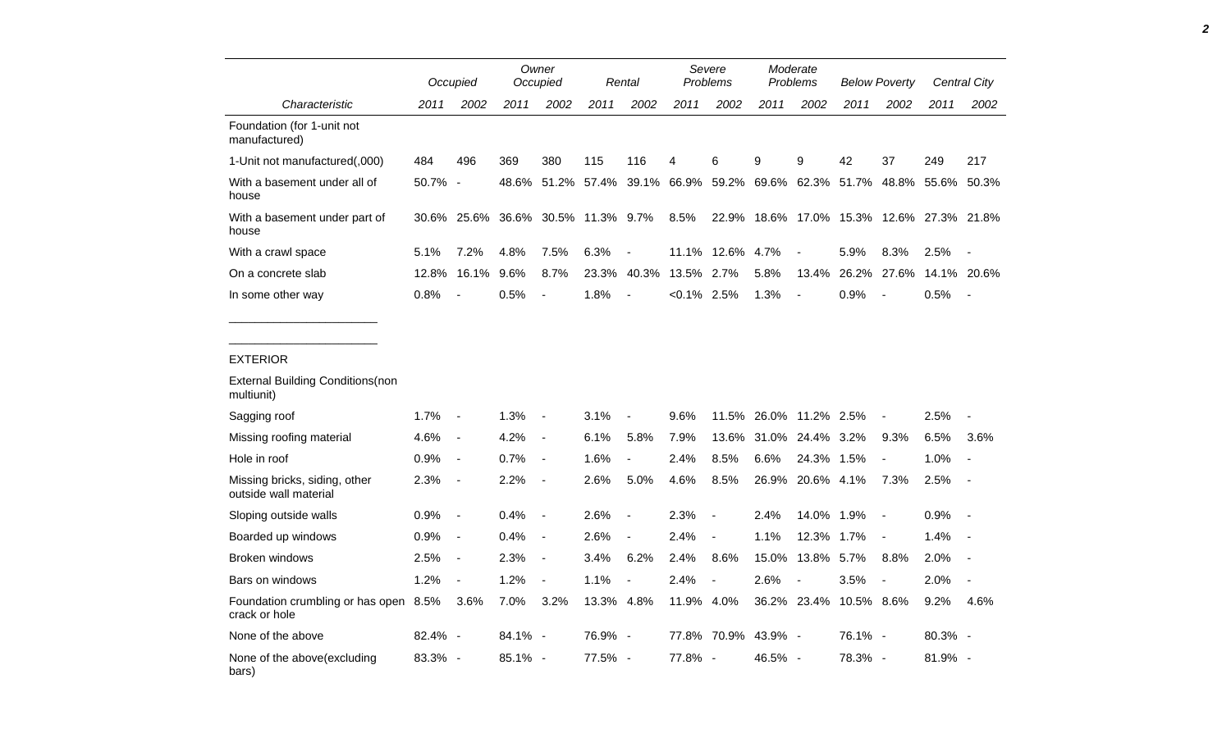|                                                        |         | Occupied                 |         | Owner<br>Occupied        |                                                 | Rental                   |                | Severe<br>Problems       | Moderate<br>Problems |                              | <b>Below Poverty</b>                      |                |             | <b>Central City</b>      |
|--------------------------------------------------------|---------|--------------------------|---------|--------------------------|-------------------------------------------------|--------------------------|----------------|--------------------------|----------------------|------------------------------|-------------------------------------------|----------------|-------------|--------------------------|
| Characteristic                                         | 2011    | 2002                     | 2011    | 2002                     | 2011                                            | 2002                     | 2011           | 2002                     | 2011                 | 2002                         | 2011                                      | 2002           | 2011        | 2002                     |
| Foundation (for 1-unit not<br>manufactured)            |         |                          |         |                          |                                                 |                          |                |                          |                      |                              |                                           |                |             |                          |
| 1-Unit not manufactured(,000)                          | 484     | 496                      | 369     | 380                      | 115                                             | 116                      | 4              | 6                        | 9                    | 9                            | 42                                        | 37             | 249         | 217                      |
| With a basement under all of<br>house                  | 50.7%   | $\overline{\phantom{a}}$ | 48.6%   |                          | 51.2% 57.4% 39.1% 66.9% 59.2% 69.6% 62.3% 51.7% |                          |                |                          |                      |                              |                                           |                | 48.8% 55.6% | 50.3%                    |
| With a basement under part of<br>house                 |         |                          |         |                          | 30.6% 25.6% 36.6% 30.5% 11.3% 9.7%              |                          | 8.5%           |                          |                      |                              | 22.9% 18.6% 17.0% 15.3% 12.6% 27.3% 21.8% |                |             |                          |
| With a crawl space                                     | 5.1%    | 7.2%                     | 4.8%    | 7.5%                     | 6.3%                                            |                          |                | 11.1% 12.6%              | 4.7%                 |                              | 5.9%                                      | 8.3%           | 2.5%        |                          |
| On a concrete slab                                     | 12.8%   | 16.1%                    | 9.6%    | 8.7%                     | 23.3%                                           | 40.3%                    | 13.5% 2.7%     |                          | 5.8%                 | 13.4%                        | 26.2%                                     | 27.6%          |             | 14.1% 20.6%              |
| In some other way                                      | 0.8%    |                          | 0.5%    | $\blacksquare$           | 1.8%                                            | $\overline{a}$           | $< 0.1\%$ 2.5% |                          | 1.3%                 | $\overline{a}$               | 0.9%                                      |                | 0.5%        | $\overline{\phantom{a}}$ |
|                                                        |         |                          |         |                          |                                                 |                          |                |                          |                      |                              |                                           |                |             |                          |
| <b>EXTERIOR</b>                                        |         |                          |         |                          |                                                 |                          |                |                          |                      |                              |                                           |                |             |                          |
| <b>External Building Conditions (non</b><br>multiunit) |         |                          |         |                          |                                                 |                          |                |                          |                      |                              |                                           |                |             |                          |
| Sagging roof                                           | 1.7%    | $\overline{a}$           | 1.3%    | $\overline{a}$           | 3.1%                                            |                          | 9.6%           | 11.5%                    |                      | 26.0% 11.2% 2.5%             |                                           | $\blacksquare$ | 2.5%        |                          |
| Missing roofing material                               | 4.6%    | $\blacksquare$           | 4.2%    | $\frac{1}{2}$            | 6.1%                                            | 5.8%                     | 7.9%           | 13.6%                    |                      | 31.0% 24.4% 3.2%             |                                           | 9.3%           | 6.5%        | 3.6%                     |
| Hole in roof                                           | 0.9%    | $\blacksquare$           | 0.7%    | $\overline{\phantom{a}}$ | 1.6%                                            | $\blacksquare$           | 2.4%           | 8.5%                     | 6.6%                 | 24.3% 1.5%                   |                                           | $\blacksquare$ | 1.0%        | $\overline{\phantom{a}}$ |
| Missing bricks, siding, other<br>outside wall material | 2.3%    | $\overline{\phantom{a}}$ | 2.2%    | $\overline{\phantom{a}}$ | 2.6%                                            | 5.0%                     | 4.6%           | 8.5%                     | 26.9%                | 20.6% 4.1%                   |                                           | 7.3%           | 2.5%        | $\overline{\phantom{a}}$ |
| Sloping outside walls                                  | 0.9%    | $\blacksquare$           | 0.4%    | $\overline{\phantom{a}}$ | 2.6%                                            | $\overline{\phantom{a}}$ | 2.3%           | $\overline{\phantom{a}}$ | 2.4%                 | 14.0% 1.9%                   |                                           | $\blacksquare$ | 0.9%        | $\overline{\phantom{a}}$ |
| Boarded up windows                                     | 0.9%    | $\overline{a}$           | 0.4%    | $\frac{1}{2}$            | 2.6%                                            | $\blacksquare$           | 2.4%           |                          | 1.1%                 | 12.3%                        | 1.7%                                      | $\blacksquare$ | 1.4%        |                          |
| <b>Broken windows</b>                                  | 2.5%    | $\overline{a}$           | 2.3%    | $\frac{1}{2}$            | 3.4%                                            | 6.2%                     | 2.4%           | 8.6%                     | 15.0%                | 13.8% 5.7%                   |                                           | 8.8%           | 2.0%        | $\overline{\phantom{a}}$ |
| Bars on windows                                        | 1.2%    | $\blacksquare$           | 1.2%    | $\overline{\phantom{a}}$ | 1.1%                                            | $\overline{\phantom{a}}$ | 2.4%           | $\blacksquare$           | 2.6%                 | $\qquad \qquad \blacksquare$ | 3.5%                                      | $\blacksquare$ | 2.0%        | $\blacksquare$           |
| Foundation crumbling or has open 8.5%<br>crack or hole |         | 3.6%                     | 7.0%    | 3.2%                     | 13.3% 4.8%                                      |                          | 11.9% 4.0%     |                          |                      | 36.2% 23.4%                  | 10.5% 8.6%                                |                | 9.2%        | 4.6%                     |
| None of the above                                      | 82.4% - |                          | 84.1% - |                          | 76.9% -                                         |                          |                | 77.8% 70.9% 43.9% -      |                      |                              | 76.1% -                                   |                | 80.3% -     |                          |
| None of the above(excluding<br>bars)                   | 83.3% - |                          | 85.1% - |                          | 77.5% -                                         |                          | 77.8% -        |                          | 46.5% -              |                              | 78.3% -                                   |                | 81.9% -     |                          |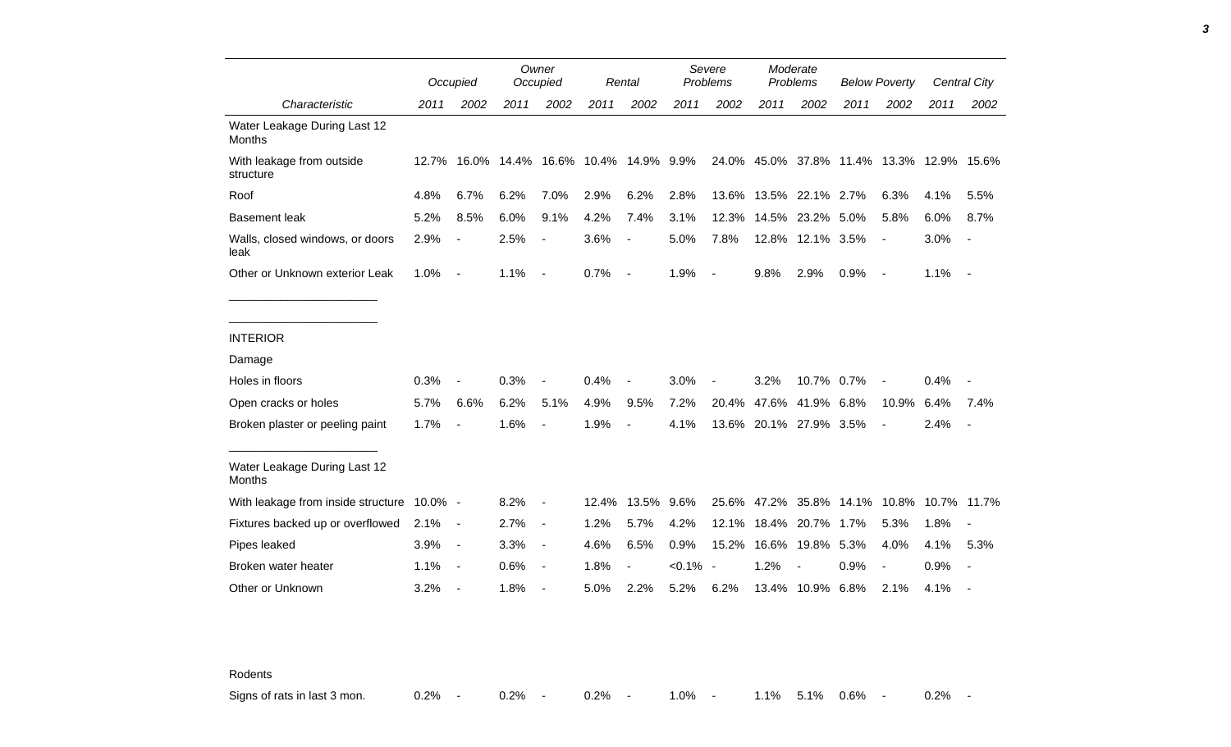|                                               |       | Occupied                 |      | Owner<br>Occupied        |                                    | Rental                   |           | Severe<br>Problems       |                        | Moderate<br>Problems |                                           | <b>Below Poverty</b>     |      | Central City             |
|-----------------------------------------------|-------|--------------------------|------|--------------------------|------------------------------------|--------------------------|-----------|--------------------------|------------------------|----------------------|-------------------------------------------|--------------------------|------|--------------------------|
| Characteristic                                | 2011  | 2002                     | 2011 | 2002                     | 2011                               | 2002                     | 2011      | 2002                     | 2011                   | 2002                 | 2011                                      | 2002                     | 2011 | 2002                     |
| Water Leakage During Last 12<br><b>Months</b> |       |                          |      |                          |                                    |                          |           |                          |                        |                      |                                           |                          |      |                          |
| With leakage from outside<br>structure        | 12.7% |                          |      |                          | 16.0% 14.4% 16.6% 10.4% 14.9% 9.9% |                          |           |                          |                        |                      | 24.0% 45.0% 37.8% 11.4% 13.3% 12.9% 15.6% |                          |      |                          |
| Roof                                          | 4.8%  | 6.7%                     | 6.2% | 7.0%                     | 2.9%                               | 6.2%                     | 2.8%      | 13.6%                    | 13.5%                  | 22.1% 2.7%           |                                           | 6.3%                     | 4.1% | 5.5%                     |
| <b>Basement leak</b>                          | 5.2%  | 8.5%                     | 6.0% | 9.1%                     | 4.2%                               | 7.4%                     | 3.1%      | 12.3%                    | 14.5%                  | 23.2%                | 5.0%                                      | 5.8%                     | 6.0% | 8.7%                     |
| Walls, closed windows, or doors<br>leak       | 2.9%  |                          | 2.5% |                          | 3.6%                               |                          | 5.0%      | 7.8%                     |                        | 12.8% 12.1% 3.5%     |                                           | $\overline{\phantom{a}}$ | 3.0% | $\overline{\phantom{a}}$ |
| Other or Unknown exterior Leak                | 1.0%  | $\overline{\phantom{a}}$ | 1.1% | $\overline{\phantom{a}}$ | 0.7%                               | $\overline{\phantom{a}}$ | 1.9%      | $\blacksquare$           | 9.8%                   | 2.9%                 | 0.9%                                      | $\overline{\phantom{a}}$ | 1.1% | $\overline{\phantom{a}}$ |
|                                               |       |                          |      |                          |                                    |                          |           |                          |                        |                      |                                           |                          |      |                          |
| <b>INTERIOR</b>                               |       |                          |      |                          |                                    |                          |           |                          |                        |                      |                                           |                          |      |                          |
| Damage                                        |       |                          |      |                          |                                    |                          |           |                          |                        |                      |                                           |                          |      |                          |
| Holes in floors                               | 0.3%  |                          | 0.3% |                          | 0.4%                               |                          | 3.0%      |                          | 3.2%                   | 10.7% 0.7%           |                                           | $\overline{\phantom{a}}$ | 0.4% |                          |
| Open cracks or holes                          | 5.7%  | 6.6%                     | 6.2% | 5.1%                     | 4.9%                               | 9.5%                     | 7.2%      | 20.4%                    | 47.6%                  | 41.9%                | 6.8%                                      | 10.9%                    | 6.4% | 7.4%                     |
| Broken plaster or peeling paint               | 1.7%  |                          | 1.6% |                          | 1.9%                               |                          | 4.1%      |                          | 13.6% 20.1% 27.9% 3.5% |                      |                                           | $\overline{\phantom{a}}$ | 2.4% | $\overline{\phantom{a}}$ |
| Water Leakage During Last 12<br><b>Months</b> |       |                          |      |                          |                                    |                          |           |                          |                        |                      |                                           |                          |      |                          |
| With leakage from inside structure 10.0% -    |       |                          | 8.2% | $\overline{\phantom{a}}$ | 12.4%                              | 13.5% 9.6%               |           | 25.6%                    |                        |                      | 47.2% 35.8% 14.1% 10.8% 10.7% 11.7%       |                          |      |                          |
| Fixtures backed up or overflowed              | 2.1%  | $\blacksquare$           | 2.7% | $\blacksquare$           | 1.2%                               | 5.7%                     | 4.2%      | 12.1%                    |                        | 18.4% 20.7%          | 1.7%                                      | 5.3%                     | 1.8% |                          |
| Pipes leaked                                  | 3.9%  | $\blacksquare$           | 3.3% | $\blacksquare$           | 4.6%                               | 6.5%                     | 0.9%      | 15.2%                    |                        | 16.6% 19.8%          | 5.3%                                      | 4.0%                     | 4.1% | 5.3%                     |
| Broken water heater                           | 1.1%  | $\overline{\phantom{a}}$ | 0.6% | $\overline{\phantom{a}}$ | 1.8%                               |                          | $< 0.1\%$ | $\overline{\phantom{a}}$ | 1.2%                   |                      | 0.9%                                      |                          | 0.9% |                          |
| Other or Unknown                              | 3.2%  | $\blacksquare$           | 1.8% |                          | 5.0%                               | 2.2%                     | 5.2%      | 6.2%                     |                        | 13.4% 10.9% 6.8%     |                                           | 2.1%                     | 4.1% |                          |

Rodents

Signs of rats in last 3 mon.  $0.2\%$  - 0.2% - 0.2% - 1.0% - 1.1% 5.1% 0.6% - 0.2% -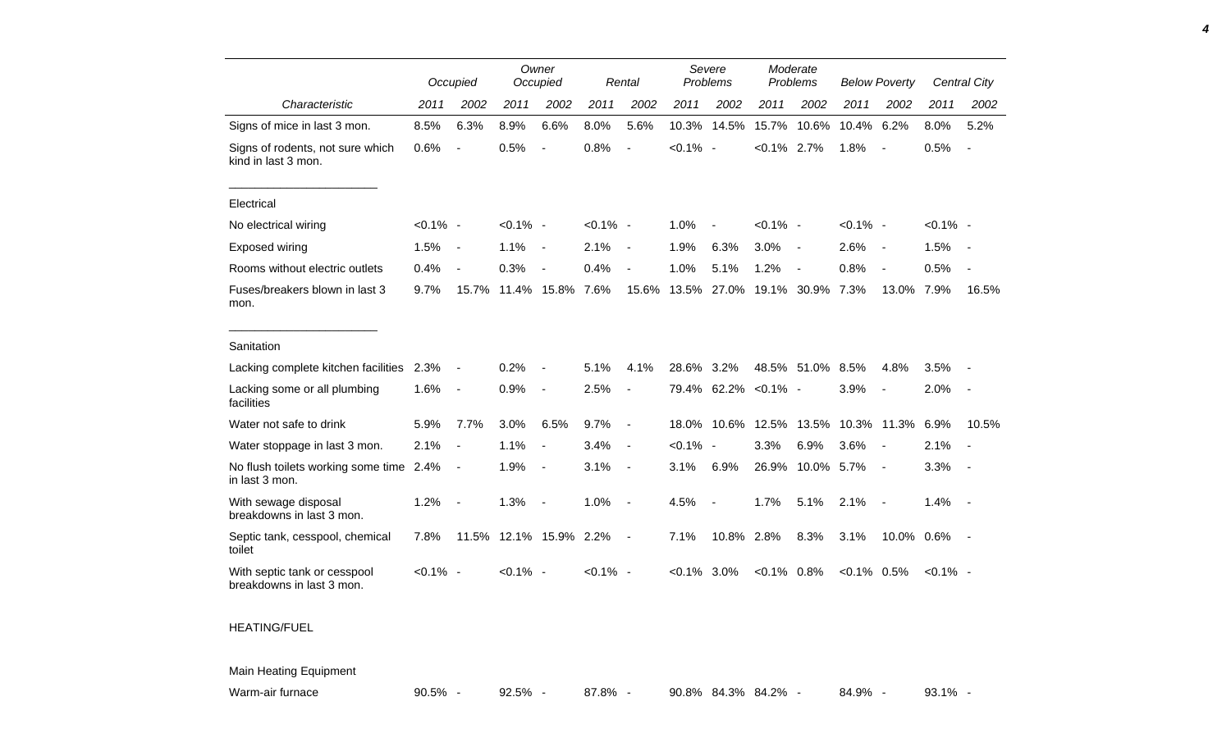|                                                           |             | Occupied                 |             | Owner<br>Occupied        |             | Rental                   |             | Severe<br>Problems       |                  | Moderate<br>Problems     |               | <b>Below Poverty</b>     |             | Central City             |
|-----------------------------------------------------------|-------------|--------------------------|-------------|--------------------------|-------------|--------------------------|-------------|--------------------------|------------------|--------------------------|---------------|--------------------------|-------------|--------------------------|
| Characteristic                                            | 2011        | 2002                     | 2011        | 2002                     | 2011        | 2002                     | 2011        | 2002                     | 2011             | 2002                     | 2011          | 2002                     | 2011        | 2002                     |
| Signs of mice in last 3 mon.                              | 8.5%        | 6.3%                     | 8.9%        | 6.6%                     | 8.0%        | 5.6%                     | 10.3%       | 14.5%                    | 15.7%            | 10.6%                    | 10.4%         | 6.2%                     | 8.0%        | 5.2%                     |
| Signs of rodents, not sure which<br>kind in last 3 mon.   | 0.6%        | $\overline{a}$           | 0.5%        | $\blacksquare$           | 0.8%        | $\sim$                   | $< 0.1\%$ - |                          | $< 0.1\%$ 2.7%   |                          | 1.8%          | $\overline{\phantom{a}}$ | 0.5%        | $\sim$                   |
| Electrical                                                |             |                          |             |                          |             |                          |             |                          |                  |                          |               |                          |             |                          |
| No electrical wiring                                      | $< 0.1\%$ - |                          | $< 0.1\%$ - |                          | $< 0.1\%$ - |                          | 1.0%        |                          | $< 0.1\%$ -      |                          | $< 0.1\%$ -   |                          | $< 0.1\%$ - |                          |
| Exposed wiring                                            | 1.5%        | $\overline{a}$           | 1.1%        | $\overline{\phantom{a}}$ | 2.1%        | $\overline{\phantom{a}}$ | 1.9%        | 6.3%                     | 3.0%             | $\overline{\phantom{a}}$ | 2.6%          | $\sim$                   | 1.5%        | $\overline{\phantom{a}}$ |
| Rooms without electric outlets                            | 0.4%        | $\blacksquare$           | 0.3%        |                          | 0.4%        |                          | 1.0%        | 5.1%                     | 1.2%             |                          | 0.8%          |                          | 0.5%        |                          |
| Fuses/breakers blown in last 3<br>mon.                    | 9.7%        | 15.7%                    | 11.4%       | 15.8%                    | 7.6%        | 15.6%                    | 13.5%       | 27.0%                    | 19.1%            | 30.9%                    | 7.3%          | 13.0%                    | 7.9%        | 16.5%                    |
| Sanitation                                                |             |                          |             |                          |             |                          |             |                          |                  |                          |               |                          |             |                          |
| Lacking complete kitchen facilities                       | 2.3%        | $\overline{\phantom{a}}$ | 0.2%        |                          | 5.1%        | 4.1%                     | 28.6%       | 3.2%                     | 48.5%            | 51.0%                    | 8.5%          | 4.8%                     | 3.5%        |                          |
| Lacking some or all plumbing<br>facilities                | 1.6%        | $\blacksquare$           | 0.9%        | $\overline{\phantom{a}}$ | 2.5%        | $\blacksquare$           | 79.4%       |                          | $62.2\% < 0.1\%$ |                          | 3.9%          | $\blacksquare$           | 2.0%        |                          |
| Water not safe to drink                                   | 5.9%        | 7.7%                     | 3.0%        | 6.5%                     | 9.7%        | $\overline{\phantom{a}}$ | 18.0%       | 10.6%                    | 12.5%            | 13.5%                    |               | 10.3% 11.3%              | 6.9%        | 10.5%                    |
| Water stoppage in last 3 mon.                             | 2.1%        | $\overline{\phantom{a}}$ | 1.1%        | $\overline{\phantom{a}}$ | 3.4%        | $\overline{\phantom{a}}$ | $< 0.1\%$   | $\sim$                   | 3.3%             | 6.9%                     | 3.6%          | $\overline{\phantom{a}}$ | 2.1%        |                          |
| No flush toilets working some time 2.4%<br>in last 3 mon. |             | $\overline{a}$           | 1.9%        | $\overline{\phantom{a}}$ | 3.1%        | $\overline{\phantom{a}}$ | 3.1%        | 6.9%                     | 26.9%            | 10.0% 5.7%               |               | $\sim$                   | 3.3%        | $\sim$                   |
| With sewage disposal<br>breakdowns in last 3 mon.         | 1.2%        | $\overline{\phantom{a}}$ | 1.3%        |                          | 1.0%        | $\blacksquare$           | 4.5%        | $\overline{\phantom{a}}$ | 1.7%             | 5.1%                     | 2.1%          | $\overline{\phantom{a}}$ | 1.4%        |                          |
| Septic tank, cesspool, chemical<br>toilet                 | 7.8%        | 11.5%                    |             | 12.1% 15.9% 2.2%         |             | $\overline{\phantom{a}}$ | 7.1%        | 10.8%                    | 2.8%             | 8.3%                     | 3.1%          | 10.0% 0.6%               |             |                          |
| With septic tank or cesspool<br>breakdowns in last 3 mon. | $< 0.1\%$ - |                          | $< 0.1\%$ - |                          | $< 0.1\%$ - |                          | $< 0.1\%$   | 3.0%                     | $< 0.1\%$ 0.8%   |                          | $<0.1\%$ 0.5% |                          | $< 0.1\%$ - |                          |

## HEATING/FUEL

## Main Heating Equipment

Warm-air furnace **90.5% - 92.5% - 87.8% - 90.8% 84.3% 84.2% -** 84.9% - 93.1% -

*4*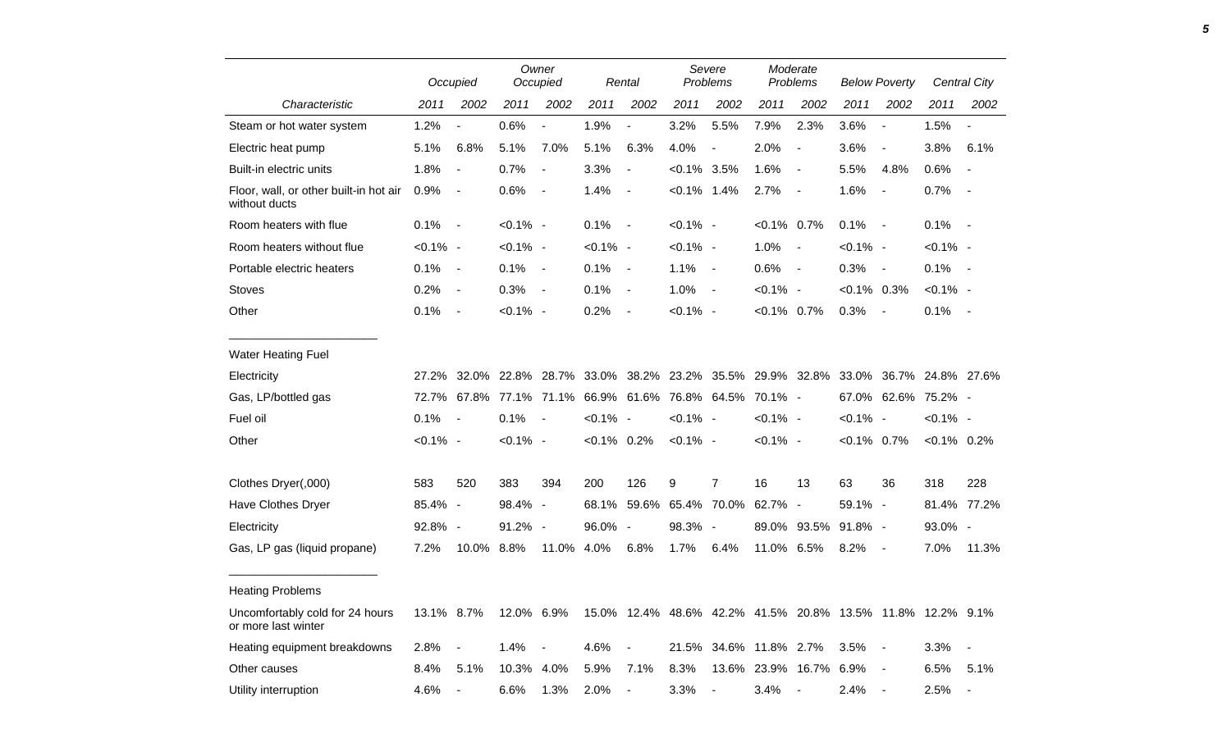|                                                         |             | Occupied                 |                   | Owner<br>Occupied        |                | Rental                   |                | Severe<br>Problems                                         |                | Moderate<br>Problems     |                | <b>Below Poverty</b>     |                   | Central City             |
|---------------------------------------------------------|-------------|--------------------------|-------------------|--------------------------|----------------|--------------------------|----------------|------------------------------------------------------------|----------------|--------------------------|----------------|--------------------------|-------------------|--------------------------|
| Characteristic                                          | 2011        | 2002                     | 2011              | 2002                     | 2011           | 2002                     | 2011           | 2002                                                       | 2011           | 2002                     | 2011           | 2002                     | 2011              | 2002                     |
| Steam or hot water system                               | 1.2%        |                          | 0.6%              | $\overline{a}$           | 1.9%           | $\blacksquare$           | 3.2%           | 5.5%                                                       | 7.9%           | 2.3%                     | 3.6%           | $\overline{a}$           | 1.5%              |                          |
| Electric heat pump                                      | 5.1%        | 6.8%                     | 5.1%              | 7.0%                     | 5.1%           | 6.3%                     | 4.0%           | $\blacksquare$                                             | 2.0%           | $\overline{\phantom{a}}$ | 3.6%           | $\overline{\phantom{a}}$ | 3.8%              | 6.1%                     |
| Built-in electric units                                 | 1.8%        | $\sim$                   | 0.7%              | $\overline{a}$           | 3.3%           | $\overline{\phantom{a}}$ | $<0.1\%$ 3.5%  |                                                            | 1.6%           | $\overline{\phantom{a}}$ | 5.5%           | 4.8%                     | 0.6%              | $\blacksquare$           |
| Floor, wall, or other built-in hot air<br>without ducts | 0.9%        | $\overline{\phantom{a}}$ | 0.6%              | $\blacksquare$           | 1.4%           | $\overline{\phantom{a}}$ | $< 0.1\%$ 1.4% |                                                            | 2.7%           | $\overline{\phantom{a}}$ | 1.6%           | $\overline{\phantom{a}}$ | 0.7%              |                          |
| Room heaters with flue                                  | 0.1%        | $\overline{\phantom{a}}$ | $< 0.1\%$ -       |                          | 0.1%           | $\sim$                   | $< 0.1\%$ -    |                                                            | $< 0.1\%$ 0.7% |                          | 0.1%           | $\overline{\phantom{a}}$ | 0.1%              | $\overline{\phantom{a}}$ |
| Room heaters without flue                               | $< 0.1\%$ - |                          | $< 0.1\%$ -       |                          | $< 0.1\%$ -    |                          | $< 0.1\%$ -    |                                                            | 1.0%           | $\blacksquare$           | $< 0.1\%$ -    |                          | $< 0.1\%$ -       |                          |
| Portable electric heaters                               | 0.1%        | $\blacksquare$           | 0.1%              | $\blacksquare$           | 0.1%           | $\overline{\phantom{a}}$ | 1.1%           | $\sim$                                                     | 0.6%           | $\blacksquare$           | 0.3%           | $\blacksquare$           | 0.1%              | $\sim$                   |
| <b>Stoves</b>                                           | 0.2%        | $\blacksquare$           | 0.3%              | $\overline{\phantom{a}}$ | 0.1%           | $\overline{\phantom{a}}$ | 1.0%           | $\sim$                                                     | $< 0.1\%$ -    |                          | $<0.1\%$ 0.3%  |                          | $< 0.1\%$ -       |                          |
| Other                                                   | 0.1%        | $\overline{\phantom{a}}$ | $< 0.1\%$ -       |                          | 0.2%           | $\overline{\phantom{a}}$ | $< 0.1\%$ -    |                                                            | $< 0.1\%$ 0.7% |                          | 0.3%           |                          | 0.1%              | $\overline{\phantom{a}}$ |
| <b>Water Heating Fuel</b>                               |             |                          |                   |                          |                |                          |                |                                                            |                |                          |                |                          |                   |                          |
| Electricity                                             | 27.2%       |                          | 32.0% 22.8% 28.7% |                          | 33.0%          |                          |                | 38.2% 23.2% 35.5% 29.9% 32.8%                              |                |                          | 33.0%          |                          | 36.7% 24.8% 27.6% |                          |
| Gas, LP/bottled gas                                     | 72.7%       |                          | 67.8% 77.1% 71.1% |                          |                |                          |                | 66.9% 61.6% 76.8% 64.5%                                    | 70.1% -        |                          | 67.0%          | 62.6% 75.2% -            |                   |                          |
| Fuel oil                                                | 0.1%        | $\overline{\phantom{a}}$ | 0.1%              | $\blacksquare$           | $< 0.1\%$ -    |                          | $< 0.1\%$ -    |                                                            | $< 0.1\%$ -    |                          | $< 0.1\%$ -    |                          | $< 0.1\%$ -       |                          |
| Other                                                   | $< 0.1\%$ - |                          | $< 0.1\%$ -       |                          | $< 0.1\%$ 0.2% |                          | $< 0.1\%$ -    |                                                            | $< 0.1\%$ -    |                          | $< 0.1\%$ 0.7% |                          | $< 0.1\%$ 0.2%    |                          |
| Clothes Dryer(,000)                                     | 583         | 520                      | 383               | 394                      | 200            | 126                      | 9              | $\overline{7}$                                             | 16             | 13                       | 63             | 36                       | 318               | 228                      |
| <b>Have Clothes Dryer</b>                               | 85.4%       | $\overline{\phantom{a}}$ | 98.4%             | $\overline{\phantom{a}}$ | 68.1%          | 59.6%                    |                | 65.4% 70.0%                                                | 62.7% -        |                          | 59.1% -        |                          |                   | 81.4% 77.2%              |
| Electricity                                             | 92.8% -     |                          | 91.2%             | $\sim$                   | 96.0%          | $\overline{\phantom{a}}$ | 98.3% -        |                                                            | 89.0%          | 93.5%                    | $91.8\%$ -     |                          | 93.0% -           |                          |
| Gas, LP gas (liquid propane)                            | 7.2%        | 10.0%                    | 8.8%              | 11.0%                    | 4.0%           | 6.8%                     | 1.7%           | 6.4%                                                       | 11.0% 6.5%     |                          | 8.2%           |                          | 7.0%              | 11.3%                    |
| <b>Heating Problems</b>                                 |             |                          |                   |                          |                |                          |                |                                                            |                |                          |                |                          |                   |                          |
| Uncomfortably cold for 24 hours<br>or more last winter  | 13.1% 8.7%  |                          | 12.0%             | $6.9\%$                  |                |                          |                | 15.0% 12.4% 48.6% 42.2% 41.5% 20.8% 13.5% 11.8% 12.2% 9.1% |                |                          |                |                          |                   |                          |
| Heating equipment breakdowns                            | 2.8%        |                          | 1.4%              |                          | 4.6%           |                          | 21.5%          | 34.6%                                                      | 11.8%          | 2.7%                     | 3.5%           |                          | 3.3%              | $\blacksquare$           |
| Other causes                                            | 8.4%        | 5.1%                     | 10.3%             | 4.0%                     | 5.9%           | 7.1%                     | 8.3%           |                                                            | 13.6% 23.9%    | 16.7%                    | 6.9%           | $\blacksquare$           | 6.5%              | 5.1%                     |
| Utility interruption                                    | 4.6%        |                          | 6.6%              | 1.3%                     | 2.0%           | $\sim$                   | 3.3%           |                                                            | 3.4%           |                          | 2.4%           | $\overline{\phantom{a}}$ | 2.5%              |                          |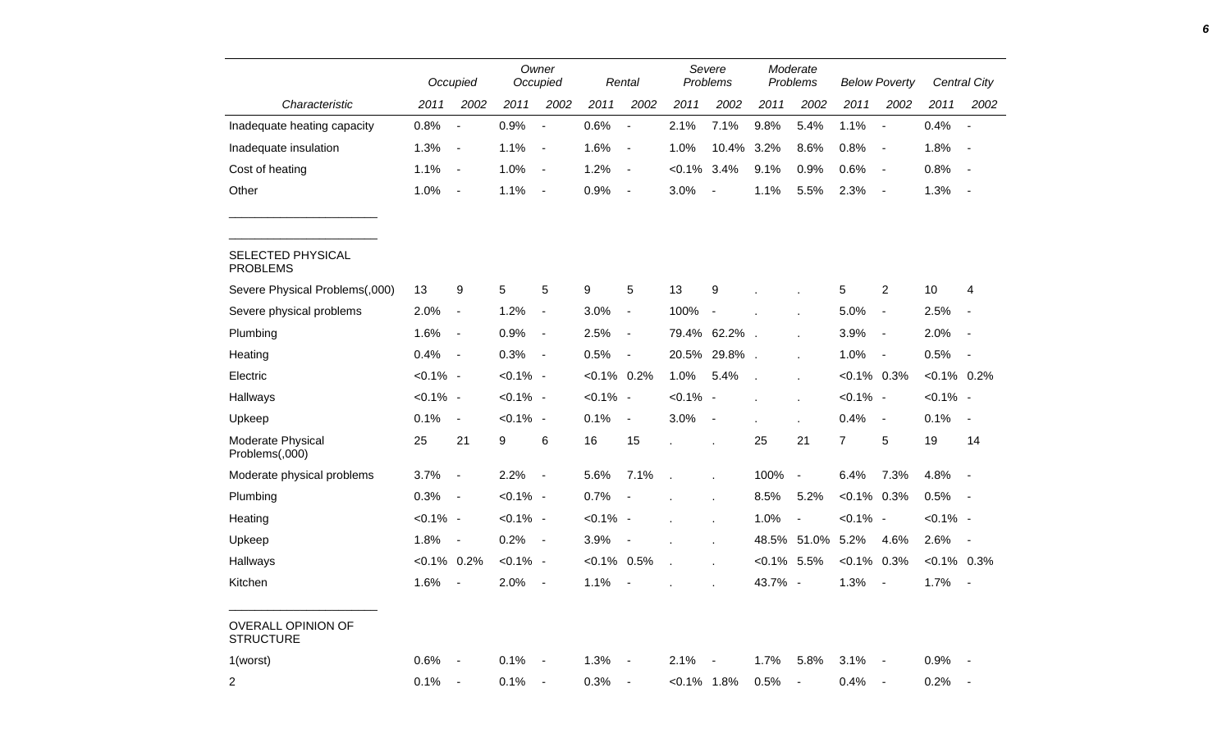|                                               |                | Occupied                     |             | Owner<br>Occupied            |                | Rental                   |                | Severe<br>Problems       |           | Moderate<br>Problems     |                | <b>Below Poverty</b>     |                | Central City             |
|-----------------------------------------------|----------------|------------------------------|-------------|------------------------------|----------------|--------------------------|----------------|--------------------------|-----------|--------------------------|----------------|--------------------------|----------------|--------------------------|
| Characteristic                                | 2011           | 2002                         | 2011        | 2002                         | 2011           | 2002                     | 2011           | 2002                     | 2011      | 2002                     | 2011           | 2002                     | 2011           | 2002                     |
| Inadequate heating capacity                   | 0.8%           | $\overline{\phantom{a}}$     | 0.9%        | $\overline{\phantom{a}}$     | 0.6%           | $\overline{\phantom{a}}$ | 2.1%           | 7.1%                     | 9.8%      | 5.4%                     | 1.1%           | $\blacksquare$           | 0.4%           | $\overline{a}$           |
| Inadequate insulation                         | 1.3%           | $\blacksquare$               | 1.1%        | $\blacksquare$               | 1.6%           | $\overline{\phantom{a}}$ | 1.0%           | 10.4%                    | 3.2%      | 8.6%                     | 0.8%           | $\blacksquare$           | 1.8%           | $\overline{\phantom{a}}$ |
| Cost of heating                               | 1.1%           | $\overline{a}$               | 1.0%        | $\overline{\phantom{a}}$     | 1.2%           | $\overline{\phantom{a}}$ | $< 0.1\%$      | 3.4%                     | 9.1%      | 0.9%                     | 0.6%           | $\overline{\phantom{a}}$ | 0.8%           |                          |
| Other                                         | 1.0%           | $\blacksquare$               | 1.1%        | $\blacksquare$               | 0.9%           | $\overline{\phantom{a}}$ | 3.0%           | $\overline{a}$           | 1.1%      | 5.5%                     | 2.3%           | $\overline{\phantom{a}}$ | 1.3%           |                          |
| SELECTED PHYSICAL<br><b>PROBLEMS</b>          |                |                              |             |                              |                |                          |                |                          |           |                          |                |                          |                |                          |
| Severe Physical Problems(,000)                | 13             | 9                            | $\,$ 5 $\,$ | 5                            | 9              | 5                        | 13             | 9                        |           |                          | 5              | $\overline{2}$           | 10             | 4                        |
| Severe physical problems                      | 2.0%           | $\blacksquare$               | 1.2%        | $\overline{\phantom{a}}$     | 3.0%           | $\blacksquare$           | 100%           | $\blacksquare$           |           |                          | 5.0%           | $\blacksquare$           | 2.5%           | $\overline{\phantom{a}}$ |
| Plumbing                                      | 1.6%           | $\overline{\phantom{a}}$     | 0.9%        | $\overline{\phantom{a}}$     | 2.5%           | $\blacksquare$           | 79.4%          | 62.2%                    |           |                          | 3.9%           | $\blacksquare$           | 2.0%           | $\overline{\phantom{a}}$ |
| Heating                                       | 0.4%           | $\blacksquare$               | 0.3%        | $\blacksquare$               | 0.5%           | $\overline{\phantom{a}}$ | 20.5%          | 29.8%                    |           |                          | 1.0%           | $\blacksquare$           | 0.5%           | $\overline{\phantom{a}}$ |
| Electric                                      | $< 0.1\%$ -    |                              | $< 0.1\%$ - |                              | $< 0.1\%$      | 0.2%                     | 1.0%           | 5.4%                     |           |                          | $< 0.1\%$ 0.3% |                          | $< 0.1\%$ 0.2% |                          |
| Hallways                                      | $< 0.1\%$ -    |                              | $< 0.1\%$ - |                              | $< 0.1\%$ -    |                          | $< 0.1\%$ -    |                          |           | $\cdot$                  | $< 0.1\%$ -    |                          | $< 0.1\%$ -    |                          |
| Upkeep                                        | 0.1%           | $\blacksquare$               | $< 0.1\%$ - |                              | 0.1%           | $\overline{\phantom{a}}$ | 3.0%           | $\overline{\phantom{a}}$ |           |                          | 0.4%           | $\blacksquare$           | 0.1%           | $\overline{\phantom{a}}$ |
| Moderate Physical<br>Problems(,000)           | 25             | 21                           | 9           | 6                            | 16             | 15                       |                |                          | 25        | 21                       | $\overline{7}$ | 5                        | 19             | 14                       |
| Moderate physical problems                    | 3.7%           | $\qquad \qquad \blacksquare$ | 2.2%        | $\overline{\phantom{a}}$     | 5.6%           | 7.1%                     |                |                          | 100%      | $\overline{\phantom{a}}$ | 6.4%           | 7.3%                     | 4.8%           |                          |
| Plumbing                                      | 0.3%           | $\blacksquare$               | $< 0.1\%$ - |                              | 0.7%           |                          |                |                          | 8.5%      | 5.2%                     | $< 0.1\%$ 0.3% |                          | 0.5%           |                          |
| Heating                                       | $< 0.1\%$ -    |                              | $< 0.1\%$ - |                              | $< 0.1\%$ -    |                          |                |                          | 1.0%      | $\overline{\phantom{a}}$ | $< 0.1\%$ -    |                          | $< 0.1\%$ -    |                          |
| Upkeep                                        | 1.8%           | $\overline{\phantom{a}}$     | 0.2%        | $\qquad \qquad \blacksquare$ | 3.9%           |                          |                |                          | 48.5%     | 51.0%                    | 5.2%           | 4.6%                     | 2.6%           | $\sim$                   |
| Hallways                                      | $< 0.1\%$ 0.2% |                              | $< 0.1\%$ - |                              | $< 0.1\%$ 0.5% |                          |                |                          | $< 0.1\%$ | 5.5%                     | $< 0.1\%$      | 0.3%                     | $< 0.1\%$ 0.3% |                          |
| Kitchen                                       | 1.6%           | ÷,                           | 2.0%        | $\blacksquare$               | 1.1%           | $\overline{\phantom{a}}$ |                |                          | 43.7% -   |                          | 1.3%           | $\blacksquare$           | 1.7%           | $\blacksquare$           |
| <b>OVERALL OPINION OF</b><br><b>STRUCTURE</b> |                |                              |             |                              |                |                          |                |                          |           |                          |                |                          |                |                          |
| 1(worst)                                      | 0.6%           |                              | 0.1%        |                              | 1.3%           |                          | 2.1%           |                          | 1.7%      | 5.8%                     | 3.1%           | $\blacksquare$           | 0.9%           |                          |
| $\overline{2}$                                | 0.1%           | $\overline{\phantom{a}}$     | 0.1%        | $\blacksquare$               | 0.3%           | $\overline{a}$           | $< 0.1\%$ 1.8% |                          | 0.5%      | $\blacksquare$           | 0.4%           | $\blacksquare$           | 0.2%           |                          |